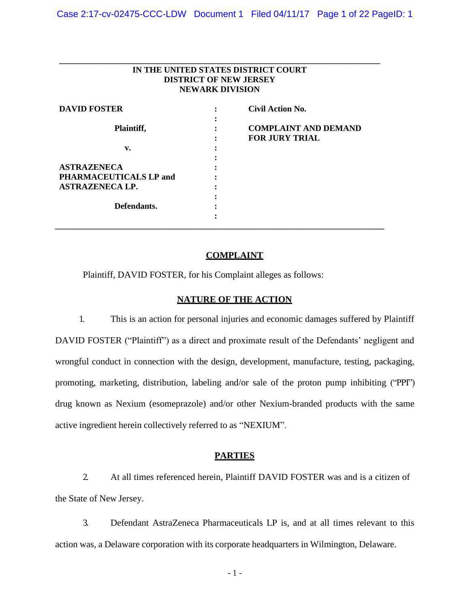| IN THE UNITED STATES DISTRICT COURT<br><b>DISTRICT OF NEW JERSEY</b><br><b>NEWARK DIVISION</b> |  |                             |
|------------------------------------------------------------------------------------------------|--|-----------------------------|
| <b>DAVID FOSTER</b>                                                                            |  | <b>Civil Action No.</b>     |
|                                                                                                |  |                             |
| Plaintiff,                                                                                     |  | <b>COMPLAINT AND DEMAND</b> |
|                                                                                                |  | <b>FOR JURY TRIAL</b>       |
| v.                                                                                             |  |                             |
|                                                                                                |  |                             |
| <b>ASTRAZENECA</b>                                                                             |  |                             |
| PHARMACEUTICALS LP and                                                                         |  |                             |
| <b>ASTRAZENECA LP.</b>                                                                         |  |                             |
|                                                                                                |  |                             |
| Defendants.                                                                                    |  |                             |
|                                                                                                |  |                             |

## **COMPLAINT**

Plaintiff, DAVID FOSTER, for his Complaint alleges as follows:

## **NATURE OF THE ACTION**

1. This is an action for personal injuries and economic damages suffered by Plaintiff DAVID FOSTER ("Plaintiff") as a direct and proximate result of the Defendants' negligent and wrongful conduct in connection with the design, development, manufacture, testing, packaging, promoting, marketing, distribution, labeling and/or sale of the proton pump inhibiting ("PPI") drug known as Nexium (esomeprazole) and/or other Nexium-branded products with the same active ingredient herein collectively referred to as "NEXIUM".

## **PARTIES**

2. At all times referenced herein, Plaintiff DAVID FOSTER was and is a citizen of the State of New Jersey.

3. Defendant AstraZeneca Pharmaceuticals LP is, and at all times relevant to this action was, a Delaware corporation with its corporate headquarters in Wilmington, Delaware.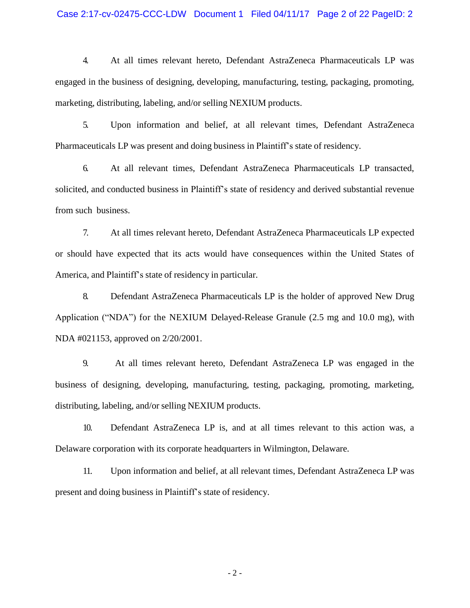## Case 2:17-cv-02475-CCC-LDW Document 1 Filed 04/11/17 Page 2 of 22 PageID: 2

4. At all times relevant hereto, Defendant AstraZeneca Pharmaceuticals LP was engaged in the business of designing, developing, manufacturing, testing, packaging, promoting, marketing, distributing, labeling, and/or selling NEXIUM products.

5. Upon information and belief, at all relevant times, Defendant AstraZeneca Pharmaceuticals LP was present and doing business in Plaintiff's state of residency.

6. At all relevant times, Defendant AstraZeneca Pharmaceuticals LP transacted, solicited, and conducted business in Plaintiff's state of residency and derived substantial revenue from such business.

7. At all times relevant hereto, Defendant AstraZeneca Pharmaceuticals LP expected or should have expected that its acts would have consequences within the United States of America, and Plaintiff's state of residency in particular.

8. Defendant AstraZeneca Pharmaceuticals LP is the holder of approved New Drug Application ("NDA") for the NEXIUM Delayed-Release Granule (2.5 mg and 10.0 mg), with NDA #021153, approved on 2/20/2001.

9. At all times relevant hereto, Defendant AstraZeneca LP was engaged in the business of designing, developing, manufacturing, testing, packaging, promoting, marketing, distributing, labeling, and/or selling NEXIUM products.

10. Defendant AstraZeneca LP is, and at all times relevant to this action was, a Delaware corporation with its corporate headquarters in Wilmington, Delaware.

11. Upon information and belief, at all relevant times, Defendant AstraZeneca LP was present and doing business in Plaintiff's state of residency.

- 2 -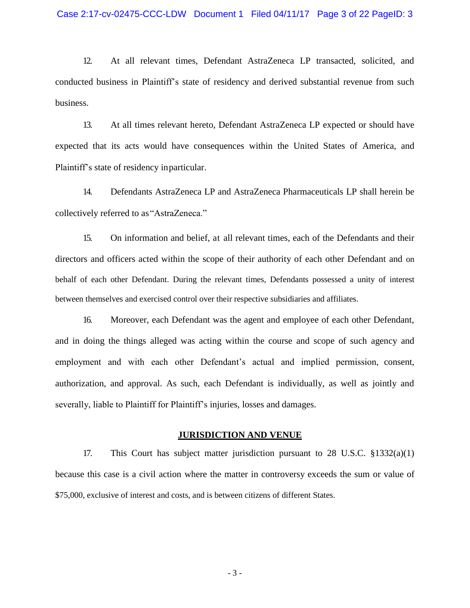12. At all relevant times, Defendant AstraZeneca LP transacted, solicited, and conducted business in Plaintiff's state of residency and derived substantial revenue from such business.

13. At all times relevant hereto, Defendant AstraZeneca LP expected or should have expected that its acts would have consequences within the United States of America, and Plaintiff's state of residency inparticular.

14. Defendants AstraZeneca LP and AstraZeneca Pharmaceuticals LP shall herein be collectively referred to as"AstraZeneca."

15. On information and belief, at all relevant times, each of the Defendants and their directors and officers acted within the scope of their authority of each other Defendant and on behalf of each other Defendant. During the relevant times, Defendants possessed a unity of interest between themselves and exercised control over their respective subsidiaries and affiliates.

16. Moreover, each Defendant was the agent and employee of each other Defendant, and in doing the things alleged was acting within the course and scope of such agency and employment and with each other Defendant's actual and implied permission, consent, authorization, and approval. As such, each Defendant is individually, as well as jointly and severally, liable to Plaintiff for Plaintiff's injuries, losses and damages.

### **JURISDICTION AND VENUE**

17. This Court has subject matter jurisdiction pursuant to 28 U.S.C. §1332(a)(1) because this case is a civil action where the matter in controversy exceeds the sum or value of \$75,000, exclusive of interest and costs, and is between citizens of different States.

- 3 -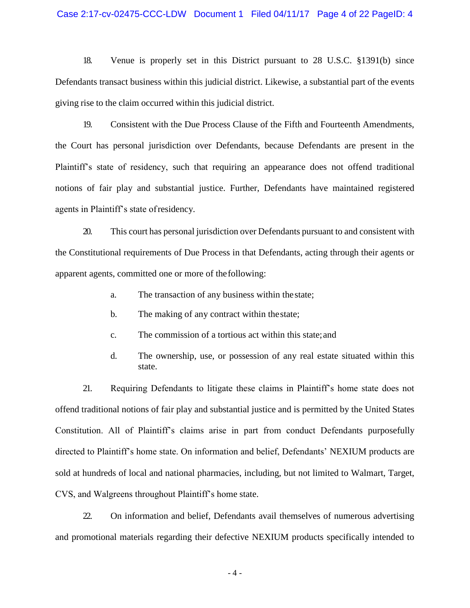#### Case 2:17-cv-02475-CCC-LDW Document 1 Filed 04/11/17 Page 4 of 22 PageID: 4

18. Venue is properly set in this District pursuant to 28 U.S.C. §1391(b) since Defendants transact business within this judicial district. Likewise, a substantial part of the events giving rise to the claim occurred within this judicial district.

19. Consistent with the Due Process Clause of the Fifth and Fourteenth Amendments, the Court has personal jurisdiction over Defendants, because Defendants are present in the Plaintiff's state of residency, such that requiring an appearance does not offend traditional notions of fair play and substantial justice. Further, Defendants have maintained registered agents in Plaintiff's state ofresidency.

20. This court has personal jurisdiction over Defendants pursuant to and consistent with the Constitutional requirements of Due Process in that Defendants, acting through their agents or apparent agents, committed one or more of thefollowing:

- a. The transaction of any business within thestate;
- b. The making of any contract within thestate;
- c. The commission of a tortious act within this state;and
- d. The ownership, use, or possession of any real estate situated within this state.

21. Requiring Defendants to litigate these claims in Plaintiff's home state does not offend traditional notions of fair play and substantial justice and is permitted by the United States Constitution. All of Plaintiff's claims arise in part from conduct Defendants purposefully directed to Plaintiff's home state. On information and belief, Defendants' NEXIUM products are sold at hundreds of local and national pharmacies, including, but not limited to Walmart, Target, CVS, and Walgreens throughout Plaintiff's home state.

22. On information and belief, Defendants avail themselves of numerous advertising and promotional materials regarding their defective NEXIUM products specifically intended to

- 4 -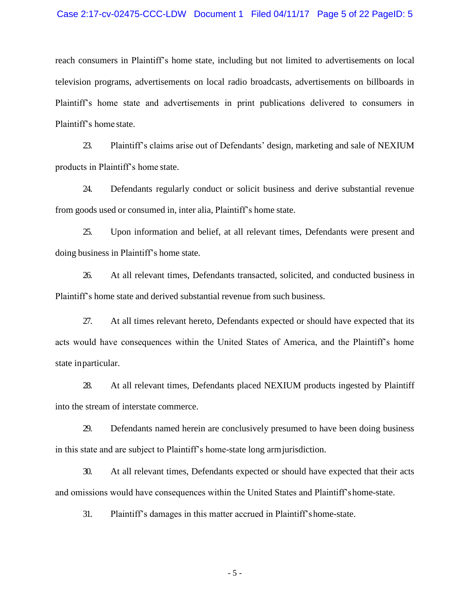#### Case 2:17-cv-02475-CCC-LDW Document 1 Filed 04/11/17 Page 5 of 22 PageID: 5

reach consumers in Plaintiff's home state, including but not limited to advertisements on local television programs, advertisements on local radio broadcasts, advertisements on billboards in Plaintiff's home state and advertisements in print publications delivered to consumers in Plaintiff's home state.

23. Plaintiff's claims arise out of Defendants' design, marketing and sale of NEXIUM products in Plaintiff's home state.

24. Defendants regularly conduct or solicit business and derive substantial revenue from goods used or consumed in, inter alia, Plaintiff's home state.

25. Upon information and belief, at all relevant times, Defendants were present and doing business in Plaintiff's home state.

26. At all relevant times, Defendants transacted, solicited, and conducted business in Plaintiff's home state and derived substantial revenue from such business.

27. At all times relevant hereto, Defendants expected or should have expected that its acts would have consequences within the United States of America, and the Plaintiff's home state inparticular.

28. At all relevant times, Defendants placed NEXIUM products ingested by Plaintiff into the stream of interstate commerce.

29. Defendants named herein are conclusively presumed to have been doing business in this state and are subject to Plaintiff's home-state long armjurisdiction.

30. At all relevant times, Defendants expected or should have expected that their acts and omissions would have consequences within the United States and Plaintiff'shome-state.

31. Plaintiff's damages in this matter accrued in Plaintiff'shome-state.

- 5 -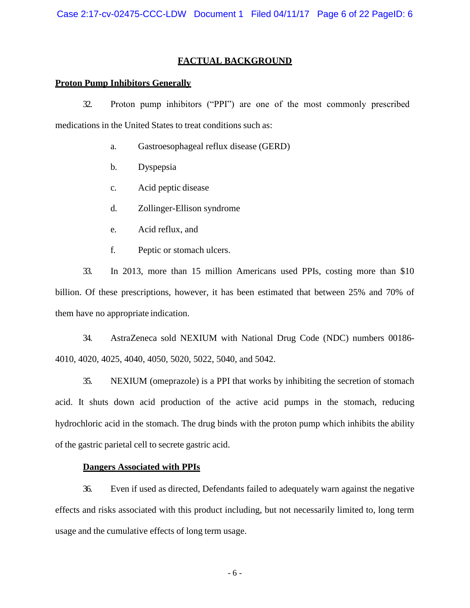# **FACTUAL BACKGROUND**

## **Proton Pump Inhibitors Generally**

32. Proton pump inhibitors ("PPI") are one of the most commonly prescribed medications in the United States to treat conditions such as:

- a. Gastroesophageal reflux disease (GERD)
- b. Dyspepsia
- c. Acid peptic disease
- d. Zollinger-Ellison syndrome
- e. Acid reflux, and
- f. Peptic or stomach ulcers.

33. In 2013, more than 15 million Americans used PPIs, costing more than \$10 billion. Of these prescriptions, however, it has been estimated that between 25% and 70% of them have no appropriate indication.

34. AstraZeneca sold NEXIUM with National Drug Code (NDC) numbers 00186- 4010, 4020, 4025, 4040, 4050, 5020, 5022, 5040, and 5042.

35. NEXIUM (omeprazole) is a PPI that works by inhibiting the secretion of stomach acid. It shuts down acid production of the active acid pumps in the stomach, reducing hydrochloric acid in the stomach. The drug binds with the proton pump which inhibits the ability of the gastric parietal cell to secrete gastric acid.

## **Dangers Associated with PPIs**

36. Even if used as directed, Defendants failed to adequately warn against the negative effects and risks associated with this product including, but not necessarily limited to, long term usage and the cumulative effects of long term usage.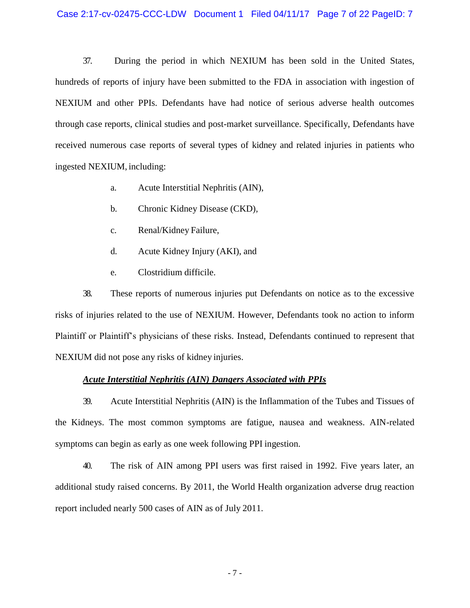37. During the period in which NEXIUM has been sold in the United States, hundreds of reports of injury have been submitted to the FDA in association with ingestion of NEXIUM and other PPIs. Defendants have had notice of serious adverse health outcomes through case reports, clinical studies and post-market surveillance. Specifically, Defendants have received numerous case reports of several types of kidney and related injuries in patients who ingested NEXIUM, including:

- a. Acute Interstitial Nephritis (AIN),
- b. Chronic Kidney Disease (CKD),
- c. Renal/Kidney Failure,
- d. Acute Kidney Injury (AKI), and
- e. Clostridium difficile.

38. These reports of numerous injuries put Defendants on notice as to the excessive risks of injuries related to the use of NEXIUM. However, Defendants took no action to inform Plaintiff or Plaintiff's physicians of these risks. Instead, Defendants continued to represent that NEXIUM did not pose any risks of kidney injuries.

## *Acute Interstitial Nephritis (AIN) Dangers Associated with PPIs*

39. Acute Interstitial Nephritis (AIN) is the Inflammation of the Tubes and Tissues of the Kidneys. The most common symptoms are fatigue, nausea and weakness. AIN-related symptoms can begin as early as one week following PPI ingestion.

40. The risk of AIN among PPI users was first raised in 1992. Five years later, an additional study raised concerns. By 2011, the World Health organization adverse drug reaction report included nearly 500 cases of AIN as of July 2011.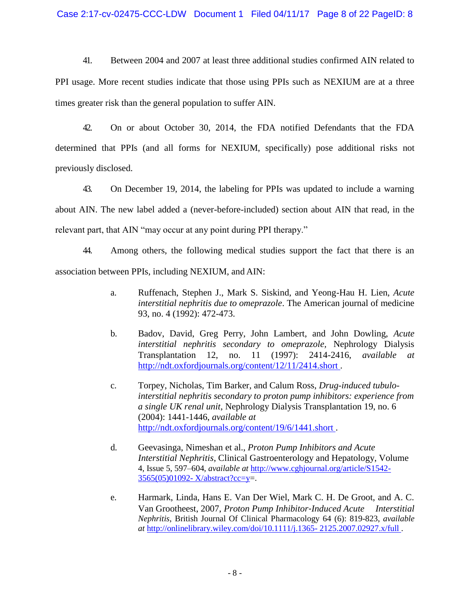41. Between 2004 and 2007 at least three additional studies confirmed AIN related to PPI usage. More recent studies indicate that those using PPIs such as NEXIUM are at a three times greater risk than the general population to suffer AIN.

42. On or about October 30, 2014, the FDA notified Defendants that the FDA determined that PPIs (and all forms for NEXIUM, specifically) pose additional risks not previously disclosed.

43. On December 19, 2014, the labeling for PPIs was updated to include a warning about AIN. The new label added a (never-before-included) section about AIN that read, in the relevant part, that AIN "may occur at any point during PPI therapy."

44. Among others, the following medical studies support the fact that there is an association between PPIs, including NEXIUM, and AIN:

- a. Ruffenach, Stephen J., Mark S. Siskind, and Yeong-Hau H. Lien, *Acute interstitial nephritis due to omeprazole*. The American journal of medicine 93, no. 4 (1992): 472-473.
- b. Badov, David, Greg Perry, John Lambert, and John Dowling, *Acute interstitial nephritis secondary to omeprazole,* Nephrology Dialysis Transplantation 12, no. 11 (1997): 2414-2416, *available at*  <http://ndt.oxfordjournals.org/content/12/11/2414.short> .
- c. Torpey, Nicholas, Tim Barker, and Calum Ross, *Drug-induced tubulointerstitial nephritis secondary to proton pump inhibitors: experience from a single UK renal unit*, Nephrology Dialysis Transplantation 19, no. 6 (2004): 1441-1446, *available at*  <http://ndt.oxfordjournals.org/content/19/6/1441.short> .
- d. Geevasinga, Nimeshan et al., *Proton Pump Inhibitors and Acute Interstitial Nephritis*, Clinical Gastroenterology and Hepatology, Volume 4, Issue 5, 597–604, *available at* [http://www.cghjournal.org/article/S1542-](http://www.cghjournal.org/article/S1542-3565(05)01092-) [3565\(05\)01092-](http://www.cghjournal.org/article/S1542-3565(05)01092-) X/abstract?cc=y=.
- e. Harmark, Linda, Hans E. Van Der Wiel, Mark C. H. De Groot, and A. C. Van Grootheest, 2007, *Proton Pump Inhibitor‐Induced Acute Interstitial Nephritis*, British Journal Of Clinical Pharmacology 64 (6): 819-823, *available at* <http://onlinelibrary.wiley.com/doi/10.1111/j.1365-> 2125.2007.02927.x/full .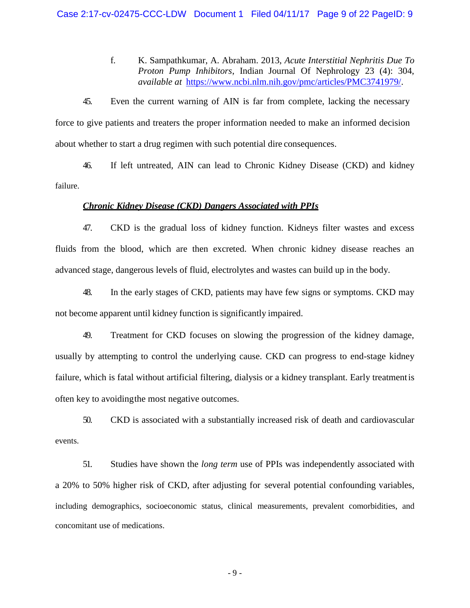f. K. Sampathkumar, A. Abraham. 2013, *Acute Interstitial Nephritis Due To Proton Pump Inhibitors*, Indian Journal Of Nephrology 23 (4): 304, *available at* [https://www.ncbi.nlm.](http://www.ncbi.nlm.nih.gov/pmc/articles/PMC3741979/)n[ih.gov/pmc/articles/PMC3741979/.](http://www.ncbi.nlm.nih.gov/pmc/articles/PMC3741979/)

45. Even the current warning of AIN is far from complete, lacking the necessary force to give patients and treaters the proper information needed to make an informed decision about whether to start a drug regimen with such potential dire consequences.

46. If left untreated, AIN can lead to Chronic Kidney Disease (CKD) and kidney failure.

#### *Chronic Kidney Disease (CKD) Dangers Associated with PPIs*

47. CKD is the gradual loss of kidney function. Kidneys filter wastes and excess fluids from the blood, which are then excreted. When chronic kidney disease reaches an advanced stage, dangerous levels of fluid, electrolytes and wastes can build up in the body.

48. In the early stages of CKD, patients may have few signs or symptoms. CKD may not become apparent until kidney function is significantly impaired.

49. Treatment for CKD focuses on slowing the progression of the kidney damage, usually by attempting to control the underlying cause. CKD can progress to end-stage kidney failure, which is fatal without artificial filtering, dialysis or a kidney transplant. Early treatmentis often key to avoidingthe most negative outcomes.

50. CKD is associated with a substantially increased risk of death and cardiovascular events.

51. Studies have shown the *long term* use of PPIs was independently associated with a 20% to 50% higher risk of CKD, after adjusting for several potential confounding variables, including demographics, socioeconomic status, clinical measurements, prevalent comorbidities, and concomitant use of medications.

- 9 -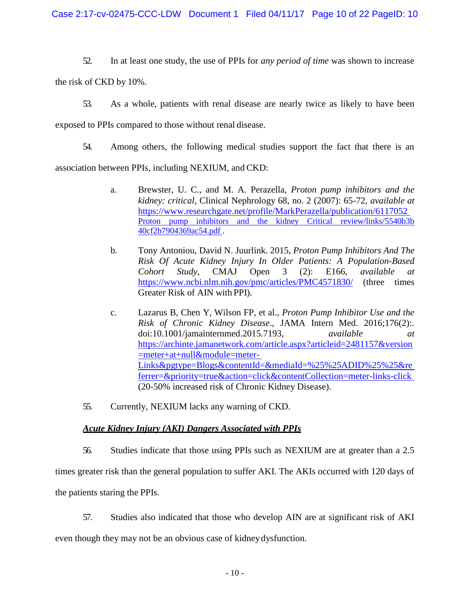52. In at least one study, the use of PPIs for *any period of time* was shown to increase

the risk of CKD by 10%.

53. As a whole, patients with renal disease are nearly twice as likely to have been

exposed to PPIs compared to those without renal disease.

54. Among others, the following medical studies support the fact that there is an

association between PPIs, including NEXIUM, and CKD:

- a. Brewster, U. C., and M. A. Perazella, *Proton pump inhibitors and the kidney: critical*, Clinical Nephrology 68, no. 2 (2007): 65-72, *available at*  [https://www.researchgate.net/profile/](http://www.researchgate.net/profile/MarkPerazella/publication/6117052)Mar[kPerazella/publication/6117052](http://www.researchgate.net/profile/MarkPerazella/publication/6117052) Proton pump inhibitors and the kidney Critical review/links/5540b3b 40cf2b7904369ac54.pdf .
- b. Tony Antoniou, David N. Juurlink. 2015, *Proton Pump Inhibitors And The Risk Of Acute Kidney Injury In Older Patients: A Population-Based Cohort Study*, CMAJ Open 3 (2): E166, *available at*  <https://www.ncbi.nlm.nih.gov/pmc/articles/PMC4571830/> (three times Greater Risk of AIN with PPI).
- c. Lazarus B, Chen Y, Wilson FP, et al., *Proton Pump Inhibitor Use and the Risk of Chronic Kidney Disease*., JAMA Intern Med. 2016;176(2):. doi:10.1001/jamainternmed.2015.7193, *available at*  https://archinte.jamanetwork.com/article.aspx?articleid=2481157&version =meter+at+null&module=meter-Links&pgtype=Blogs&contentId=&mediaId=%25%25ADID%25%25&re ferrer=&priority=true&action=click&contentCollection=meter-links-click (20-50% increased risk of Chronic Kidney Disease).
- 55. Currently, NEXIUM lacks any warning of CKD.

# *Acute Kidney Injury (AKI) Dangers Associated with PPIs*

56. Studies indicate that those using PPIs such as NEXIUM are at greater than a 2.5 times greater risk than the general population to suffer AKI. The AKIs occurred with 120 days of the patients staring the PPIs.

57. Studies also indicated that those who develop AIN are at significant risk of AKI even though they may not be an obvious case of kidneydysfunction.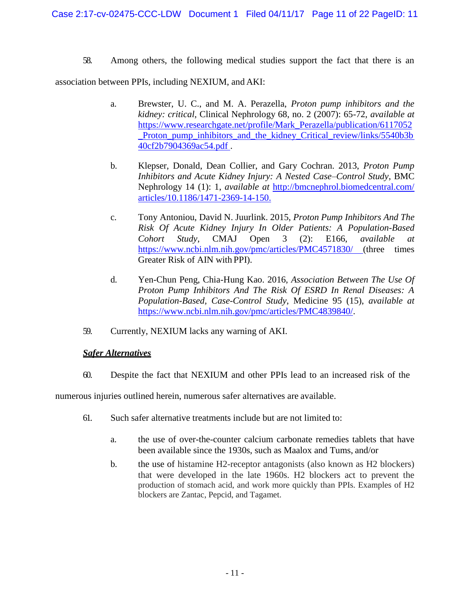58. Among others, the following medical studies support the fact that there is an

association between PPIs, including NEXIUM, and AKI:

- a. Brewster, U. C., and M. A. Perazella, *Proton pump inhibitors and the kidney: critical*, Clinical Nephrology 68, no. 2 (2007): 65-72, *available at*  [https://www.researchgate.net/profile/Mark\\_Perazella/publication/6117052](http://www.researchgate.net/profile/Mark_Perazella/publication/6117052) \_Proton\_pump\_inhibitors\_and\_the\_kidney\_Critical\_review/links/5540b3b 40cf2b7904369ac54.pdf .
- b. Klepser, Donald, Dean Collier, and Gary Cochran. 2013, *Proton Pump Inhibitors and Acute Kidney Injury: A Nested Case–Control Study*, BMC Nephrology 14 (1): 1, *available at* [http://bmcnephrol.biomedcentral.com/](http://bmcnephrol.biomedcentral.com/articles/10.1186/1471-2369-14-150.) [articles/10.1186/1471-2369-14-150.](http://bmcnephrol.biomedcentral.com/articles/10.1186/1471-2369-14-150.)
- c. Tony Antoniou, David N. Juurlink. 2015, *Proton Pump Inhibitors And The Risk Of Acute Kidney Injury In Older Patients: A Population-Based Cohort Study*, CMAJ Open 3 (2): E166, *available at*  [https://www.ncbi.nlm.nih.gov/pmc/articles/PMC4571830/ \(](http://www.ncbi.nlm.nih.gov/pmc/articles/PMC4571830/)three times Greater Risk of AIN with PPI).
- d. Yen-Chun Peng, Chia-Hung Kao. 2016, *Association Between The Use Of Proton Pump Inhibitors And The Risk Of ESRD In Renal Diseases: A Population-Based, Case-Control Study*, Medicine 95 (15), *available at*  [https://www.ncbi.nlm.nih.gov/pmc/articles/PMC4839840/.](http://www.ncbi.nlm.nih.gov/pmc/articles/PMC4839840/)
- 59. Currently, NEXIUM lacks any warning of AKI.

# *Safer Alternatives*

60. Despite the fact that NEXIUM and other PPIs lead to an increased risk of the

numerous injuries outlined herein, numerous safer alternatives are available.

- 61. Such safer alternative treatments include but are not limited to:
	- a. the use of over-the-counter calcium carbonate remedies tablets that have been available since the 1930s, such as Maalox and Tums, and/or
	- b. the use of histamine H2-receptor antagonists (also known as H2 blockers) that were developed in the late 1960s. H2 blockers act to prevent the production of stomach acid, and work more quickly than PPIs. Examples of H2 blockers are Zantac, Pepcid, and Tagamet.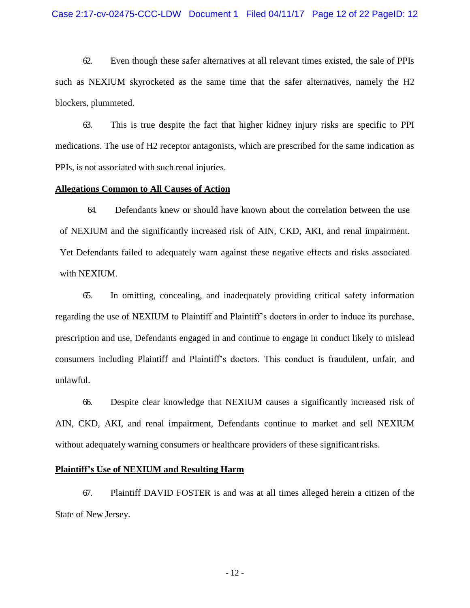62. Even though these safer alternatives at all relevant times existed, the sale of PPIs such as NEXIUM skyrocketed as the same time that the safer alternatives, namely the H2 blockers, plummeted.

63. This is true despite the fact that higher kidney injury risks are specific to PPI medications. The use of H2 receptor antagonists, which are prescribed for the same indication as PPIs, is not associated with such renal injuries.

### **Allegations Common to All Causes of Action**

64. Defendants knew or should have known about the correlation between the use of NEXIUM and the significantly increased risk of AIN, CKD, AKI, and renal impairment. Yet Defendants failed to adequately warn against these negative effects and risks associated with NEXIUM.

65. In omitting, concealing, and inadequately providing critical safety information regarding the use of NEXIUM to Plaintiff and Plaintiff's doctors in order to induce its purchase, prescription and use, Defendants engaged in and continue to engage in conduct likely to mislead consumers including Plaintiff and Plaintiff's doctors. This conduct is fraudulent, unfair, and unlawful.

66. Despite clear knowledge that NEXIUM causes a significantly increased risk of AIN, CKD, AKI, and renal impairment, Defendants continue to market and sell NEXIUM without adequately warning consumers or healthcare providers of these significantrisks.

## **Plaintiff's Use of NEXIUM and Resulting Harm**

67. Plaintiff DAVID FOSTER is and was at all times alleged herein a citizen of the State of New Jersey.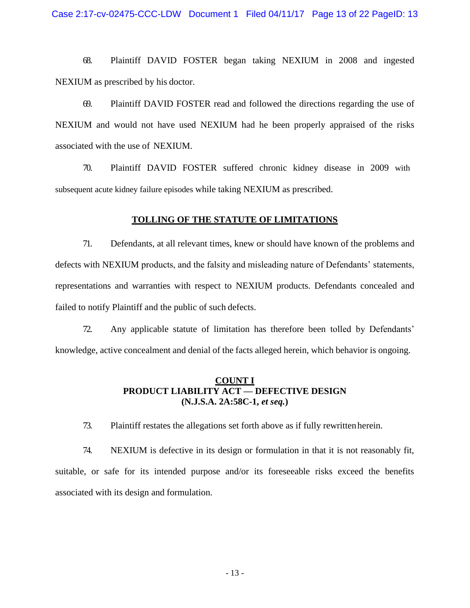Case 2:17-cv-02475-CCC-LDW Document 1 Filed 04/11/17 Page 13 of 22 PageID: 13

68. Plaintiff DAVID FOSTER began taking NEXIUM in 2008 and ingested NEXIUM as prescribed by his doctor.

69. Plaintiff DAVID FOSTER read and followed the directions regarding the use of NEXIUM and would not have used NEXIUM had he been properly appraised of the risks associated with the use of NEXIUM.

70. Plaintiff DAVID FOSTER suffered chronic kidney disease in 2009 with subsequent acute kidney failure episodes while taking NEXIUM as prescribed.

## **TOLLING OF THE STATUTE OF LIMITATIONS**

71. Defendants, at all relevant times, knew or should have known of the problems and defects with NEXIUM products, and the falsity and misleading nature of Defendants' statements, representations and warranties with respect to NEXIUM products. Defendants concealed and failed to notify Plaintiff and the public of such defects.

72. Any applicable statute of limitation has therefore been tolled by Defendants' knowledge, active concealment and denial of the facts alleged herein, which behavior is ongoing.

# **COUNT I PRODUCT LIABILITY ACT — DEFECTIVE DESIGN (N.J.S.A. 2A:58C-1,** *et seq.***)**

73. Plaintiff restates the allegations set forth above as if fully rewrittenherein.

74. NEXIUM is defective in its design or formulation in that it is not reasonably fit, suitable, or safe for its intended purpose and/or its foreseeable risks exceed the benefits associated with its design and formulation.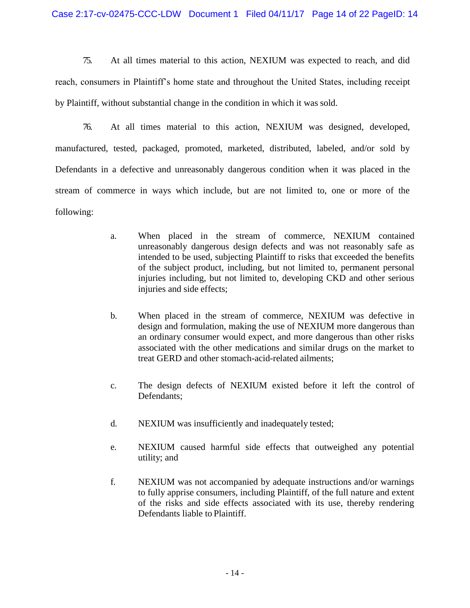75. At all times material to this action, NEXIUM was expected to reach, and did reach, consumers in Plaintiff's home state and throughout the United States, including receipt by Plaintiff, without substantial change in the condition in which it was sold.

76. At all times material to this action, NEXIUM was designed, developed, manufactured, tested, packaged, promoted, marketed, distributed, labeled, and/or sold by Defendants in a defective and unreasonably dangerous condition when it was placed in the stream of commerce in ways which include, but are not limited to, one or more of the following:

- a. When placed in the stream of commerce, NEXIUM contained unreasonably dangerous design defects and was not reasonably safe as intended to be used, subjecting Plaintiff to risks that exceeded the benefits of the subject product, including, but not limited to, permanent personal injuries including, but not limited to, developing CKD and other serious injuries and side effects;
- b. When placed in the stream of commerce, NEXIUM was defective in design and formulation, making the use of NEXIUM more dangerous than an ordinary consumer would expect, and more dangerous than other risks associated with the other medications and similar drugs on the market to treat GERD and other stomach-acid-related ailments;
- c. The design defects of NEXIUM existed before it left the control of Defendants;
- d. NEXIUM was insufficiently and inadequately tested;
- e. NEXIUM caused harmful side effects that outweighed any potential utility; and
- f. NEXIUM was not accompanied by adequate instructions and/or warnings to fully apprise consumers, including Plaintiff, of the full nature and extent of the risks and side effects associated with its use, thereby rendering Defendants liable to Plaintiff.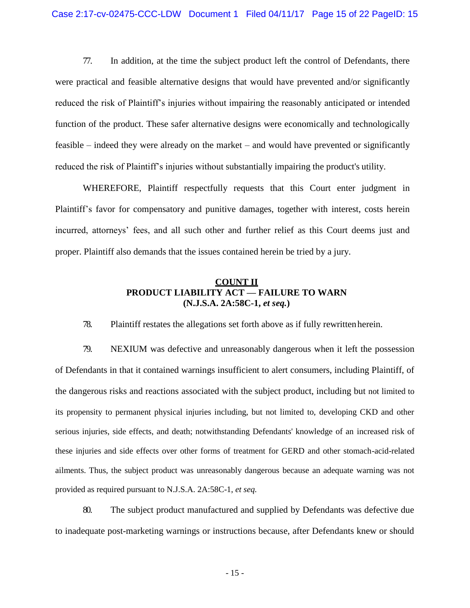77. In addition, at the time the subject product left the control of Defendants, there were practical and feasible alternative designs that would have prevented and/or significantly reduced the risk of Plaintiff's injuries without impairing the reasonably anticipated or intended function of the product. These safer alternative designs were economically and technologically feasible – indeed they were already on the market – and would have prevented or significantly reduced the risk of Plaintiff's injuries without substantially impairing the product's utility.

WHEREFORE, Plaintiff respectfully requests that this Court enter judgment in Plaintiff's favor for compensatory and punitive damages, together with interest, costs herein incurred, attorneys' fees, and all such other and further relief as this Court deems just and proper. Plaintiff also demands that the issues contained herein be tried by a jury.

# **COUNT II PRODUCT LIABILITY ACT — FAILURE TO WARN (N.J.S.A. 2A:58C-1,** *et seq.***)**

78. Plaintiff restates the allegations set forth above as if fully rewrittenherein.

79. NEXIUM was defective and unreasonably dangerous when it left the possession of Defendants in that it contained warnings insufficient to alert consumers, including Plaintiff, of the dangerous risks and reactions associated with the subject product, including but not limited to its propensity to permanent physical injuries including, but not limited to, developing CKD and other serious injuries, side effects, and death; notwithstanding Defendants' knowledge of an increased risk of these injuries and side effects over other forms of treatment for GERD and other stomach-acid-related ailments. Thus, the subject product was unreasonably dangerous because an adequate warning was not provided as required pursuant to N.J.S.A. 2A:58C-1, *et seq.*

80. The subject product manufactured and supplied by Defendants was defective due to inadequate post-marketing warnings or instructions because, after Defendants knew or should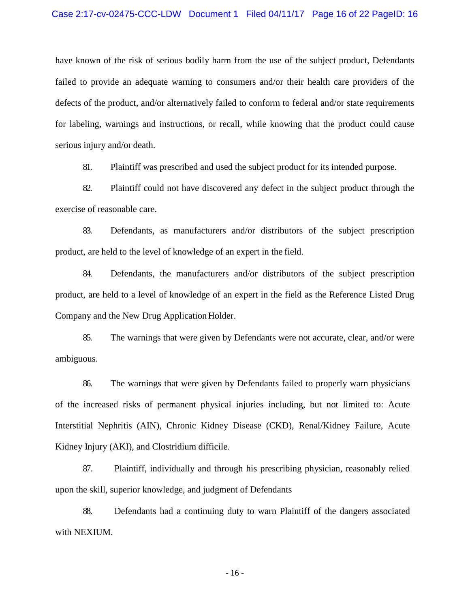#### Case 2:17-cv-02475-CCC-LDW Document 1 Filed 04/11/17 Page 16 of 22 PageID: 16

have known of the risk of serious bodily harm from the use of the subject product, Defendants failed to provide an adequate warning to consumers and/or their health care providers of the defects of the product, and/or alternatively failed to conform to federal and/or state requirements for labeling, warnings and instructions, or recall, while knowing that the product could cause serious injury and/or death.

81. Plaintiff was prescribed and used the subject product for its intended purpose.

82. Plaintiff could not have discovered any defect in the subject product through the exercise of reasonable care.

83. Defendants, as manufacturers and/or distributors of the subject prescription product, are held to the level of knowledge of an expert in the field.

84. Defendants, the manufacturers and/or distributors of the subject prescription product, are held to a level of knowledge of an expert in the field as the Reference Listed Drug Company and the New Drug Application Holder.

85. The warnings that were given by Defendants were not accurate, clear, and/or were ambiguous.

86. The warnings that were given by Defendants failed to properly warn physicians of the increased risks of permanent physical injuries including, but not limited to: Acute Interstitial Nephritis (AIN), Chronic Kidney Disease (CKD), Renal/Kidney Failure, Acute Kidney Injury (AKI), and Clostridium difficile.

87. Plaintiff, individually and through his prescribing physician, reasonably relied upon the skill, superior knowledge, and judgment of Defendants

88. Defendants had a continuing duty to warn Plaintiff of the dangers associated with NEXIUM.

- 16 -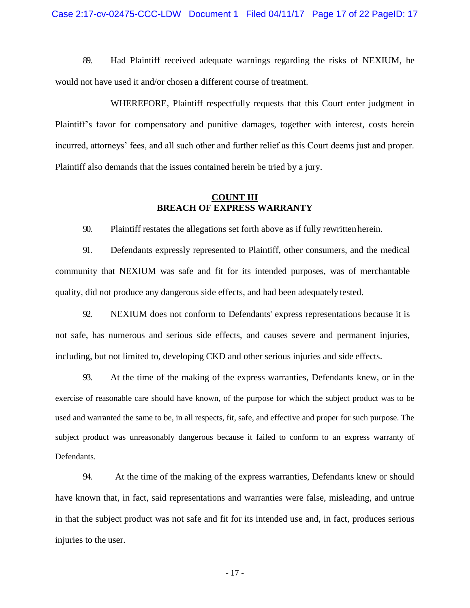89. Had Plaintiff received adequate warnings regarding the risks of NEXIUM, he would not have used it and/or chosen a different course of treatment.

WHEREFORE, Plaintiff respectfully requests that this Court enter judgment in Plaintiff's favor for compensatory and punitive damages, together with interest, costs herein incurred, attorneys' fees, and all such other and further relief as this Court deems just and proper. Plaintiff also demands that the issues contained herein be tried by a jury.

# **COUNT III BREACH OF EXPRESS WARRANTY**

90. Plaintiff restates the allegations set forth above as if fully rewrittenherein.

91. Defendants expressly represented to Plaintiff, other consumers, and the medical community that NEXIUM was safe and fit for its intended purposes, was of merchantable quality, did not produce any dangerous side effects, and had been adequately tested.

92. NEXIUM does not conform to Defendants' express representations because it is not safe, has numerous and serious side effects, and causes severe and permanent injuries, including, but not limited to, developing CKD and other serious injuries and side effects.

93. At the time of the making of the express warranties, Defendants knew, or in the exercise of reasonable care should have known, of the purpose for which the subject product was to be used and warranted the same to be, in all respects, fit, safe, and effective and proper for such purpose. The subject product was unreasonably dangerous because it failed to conform to an express warranty of Defendants.

94. At the time of the making of the express warranties, Defendants knew or should have known that, in fact, said representations and warranties were false, misleading, and untrue in that the subject product was not safe and fit for its intended use and, in fact, produces serious injuries to the user.

- 17 -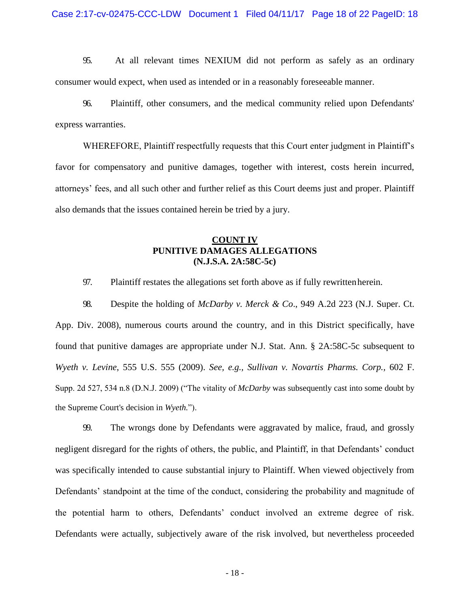95. At all relevant times NEXIUM did not perform as safely as an ordinary consumer would expect, when used as intended or in a reasonably foreseeable manner.

96. Plaintiff, other consumers, and the medical community relied upon Defendants' express warranties.

WHEREFORE, Plaintiff respectfully requests that this Court enter judgment in Plaintiff's favor for compensatory and punitive damages, together with interest, costs herein incurred, attorneys' fees, and all such other and further relief as this Court deems just and proper. Plaintiff also demands that the issues contained herein be tried by a jury.

# **COUNT IV PUNITIVE DAMAGES ALLEGATIONS (N.J.S.A. 2A:58C-5c)**

97. Plaintiff restates the allegations set forth above as if fully rewrittenherein.

98. Despite the holding of *McDarby v. Merck & Co*., 949 A.2d 223 (N.J. Super. Ct. App. Div. 2008), numerous courts around the country, and in this District specifically, have found that punitive damages are appropriate under N.J. Stat. Ann. § 2A:58C-5c subsequent to *Wyeth v. Levine*, 555 U.S. 555 (2009). *See, e.g., Sullivan v. Novartis Pharms. Corp.,* 602 F. Supp. 2d 527, 534 n.8 (D.N.J. 2009) ("The vitality of *McDarby* was subsequently cast into some doubt by the Supreme Court's decision in *Wyeth.*").

99. The wrongs done by Defendants were aggravated by malice, fraud, and grossly negligent disregard for the rights of others, the public, and Plaintiff, in that Defendants' conduct was specifically intended to cause substantial injury to Plaintiff. When viewed objectively from Defendants' standpoint at the time of the conduct, considering the probability and magnitude of the potential harm to others, Defendants' conduct involved an extreme degree of risk. Defendants were actually, subjectively aware of the risk involved, but nevertheless proceeded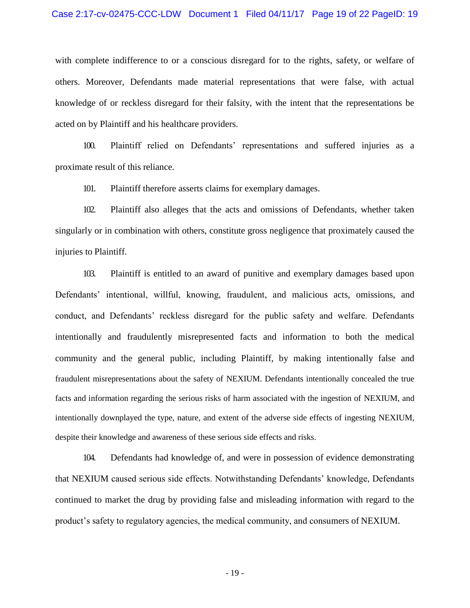#### Case 2:17-cv-02475-CCC-LDW Document 1 Filed 04/11/17 Page 19 of 22 PageID: 19

with complete indifference to or a conscious disregard for to the rights, safety, or welfare of others. Moreover, Defendants made material representations that were false, with actual knowledge of or reckless disregard for their falsity, with the intent that the representations be acted on by Plaintiff and his healthcare providers.

100. Plaintiff relied on Defendants' representations and suffered injuries as a proximate result of this reliance.

101. Plaintiff therefore asserts claims for exemplary damages.

102. Plaintiff also alleges that the acts and omissions of Defendants, whether taken singularly or in combination with others, constitute gross negligence that proximately caused the injuries to Plaintiff.

103. Plaintiff is entitled to an award of punitive and exemplary damages based upon Defendants' intentional, willful, knowing, fraudulent, and malicious acts, omissions, and conduct, and Defendants' reckless disregard for the public safety and welfare. Defendants intentionally and fraudulently misrepresented facts and information to both the medical community and the general public, including Plaintiff, by making intentionally false and fraudulent misrepresentations about the safety of NEXIUM. Defendants intentionally concealed the true facts and information regarding the serious risks of harm associated with the ingestion of NEXIUM, and intentionally downplayed the type, nature, and extent of the adverse side effects of ingesting NEXIUM, despite their knowledge and awareness of these serious side effects and risks.

104. Defendants had knowledge of, and were in possession of evidence demonstrating that NEXIUM caused serious side effects. Notwithstanding Defendants' knowledge, Defendants continued to market the drug by providing false and misleading information with regard to the product's safety to regulatory agencies, the medical community, and consumers of NEXIUM.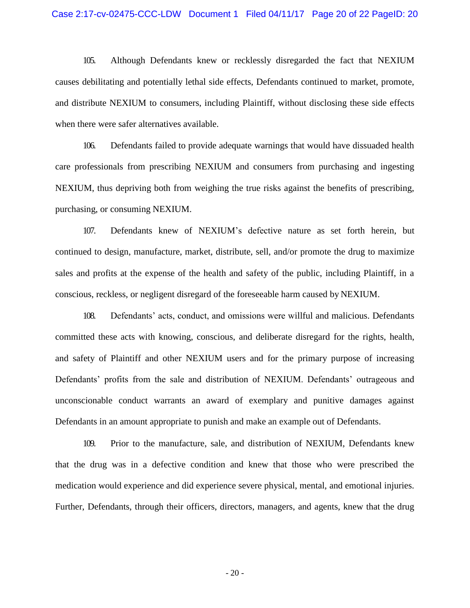#### Case 2:17-cv-02475-CCC-LDW Document 1 Filed 04/11/17 Page 20 of 22 PageID: 20

105. Although Defendants knew or recklessly disregarded the fact that NEXIUM causes debilitating and potentially lethal side effects, Defendants continued to market, promote, and distribute NEXIUM to consumers, including Plaintiff, without disclosing these side effects when there were safer alternatives available.

106. Defendants failed to provide adequate warnings that would have dissuaded health care professionals from prescribing NEXIUM and consumers from purchasing and ingesting NEXIUM, thus depriving both from weighing the true risks against the benefits of prescribing, purchasing, or consuming NEXIUM.

107. Defendants knew of NEXIUM's defective nature as set forth herein, but continued to design, manufacture, market, distribute, sell, and/or promote the drug to maximize sales and profits at the expense of the health and safety of the public, including Plaintiff, in a conscious, reckless, or negligent disregard of the foreseeable harm caused by NEXIUM.

108. Defendants' acts, conduct, and omissions were willful and malicious. Defendants committed these acts with knowing, conscious, and deliberate disregard for the rights, health, and safety of Plaintiff and other NEXIUM users and for the primary purpose of increasing Defendants' profits from the sale and distribution of NEXIUM. Defendants' outrageous and unconscionable conduct warrants an award of exemplary and punitive damages against Defendants in an amount appropriate to punish and make an example out of Defendants.

109. Prior to the manufacture, sale, and distribution of NEXIUM, Defendants knew that the drug was in a defective condition and knew that those who were prescribed the medication would experience and did experience severe physical, mental, and emotional injuries. Further, Defendants, through their officers, directors, managers, and agents, knew that the drug

- 20 -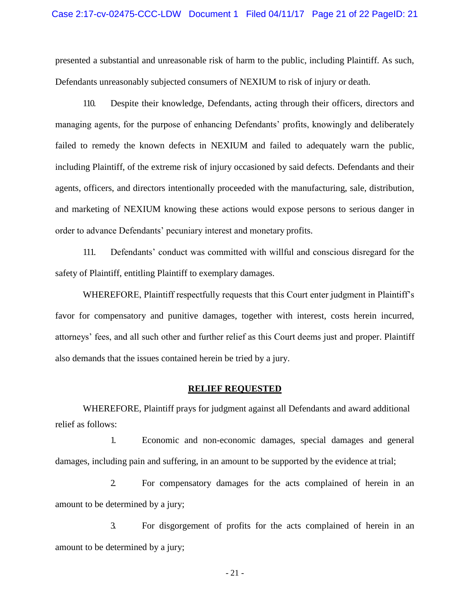#### Case 2:17-cv-02475-CCC-LDW Document 1 Filed 04/11/17 Page 21 of 22 PageID: 21

presented a substantial and unreasonable risk of harm to the public, including Plaintiff. As such, Defendants unreasonably subjected consumers of NEXIUM to risk of injury or death.

110. Despite their knowledge, Defendants, acting through their officers, directors and managing agents, for the purpose of enhancing Defendants' profits, knowingly and deliberately failed to remedy the known defects in NEXIUM and failed to adequately warn the public, including Plaintiff, of the extreme risk of injury occasioned by said defects. Defendants and their agents, officers, and directors intentionally proceeded with the manufacturing, sale, distribution, and marketing of NEXIUM knowing these actions would expose persons to serious danger in order to advance Defendants' pecuniary interest and monetary profits.

111. Defendants' conduct was committed with willful and conscious disregard for the safety of Plaintiff, entitling Plaintiff to exemplary damages.

WHEREFORE, Plaintiff respectfully requests that this Court enter judgment in Plaintiff's favor for compensatory and punitive damages, together with interest, costs herein incurred, attorneys' fees, and all such other and further relief as this Court deems just and proper. Plaintiff also demands that the issues contained herein be tried by a jury.

#### **RELIEF REQUESTED**

WHEREFORE, Plaintiff prays for judgment against all Defendants and award additional relief as follows:

1. Economic and non-economic damages, special damages and general damages, including pain and suffering, in an amount to be supported by the evidence at trial;

2. For compensatory damages for the acts complained of herein in an amount to be determined by a jury;

3. For disgorgement of profits for the acts complained of herein in an amount to be determined by a jury;

- 21 -